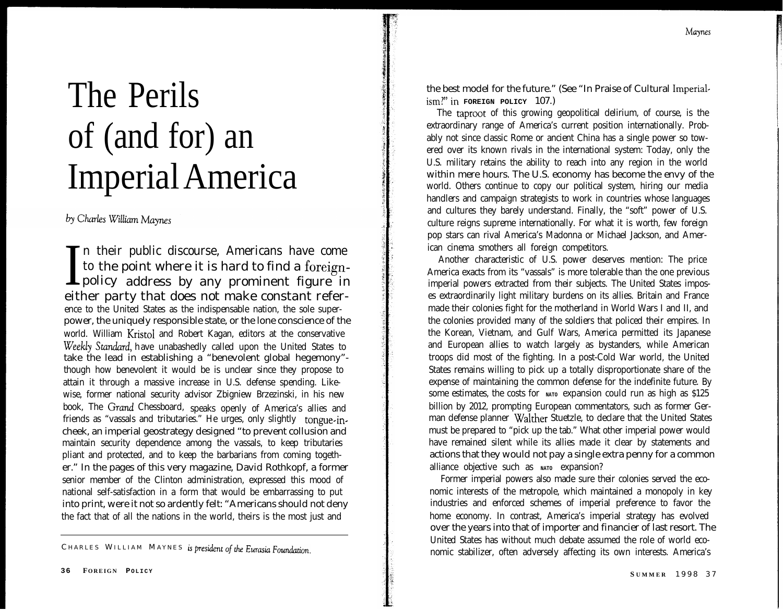# The Perils of (and for) an Imperial America

by Charles William Maynes

 $\prod_{\scriptscriptstyle{\mathrm{il}}}\,$ n their public discourse, Americans have come to the point where it is hard to find a foreign policy address by any prominent figure in either party that does not make constant reference to the United States as the indispensable nation, the sole superpower, the uniquely responsible state, or the lone conscience of the world. William Kristol and Robert Kagan, editors at the conservative Weekly Standard, have unabashedly called upon the United States to take the lead in establishing a "benevolent global hegemony" though how benevolent it would be is unclear since they propose to attain it through a massive increase in U.S. defense spending. Likewise, former national security advisor Zbigniew Brzezinski, in his new book, The Grand Chessboard, speaks openly of America's allies and friends as "vassals and tributaries." He urges, only slightly tongue-incheek, an imperial geostrategy designed "to prevent collusion and maintain security dependence among the vassals, to keep tributaries pliant and protected, and to keep the barbarians from coming together." In the pages of this very magazine, David Rothkopf, a former senior member of the Clinton administration, expressed this mood of national self-satisfaction in a form that would be embarrassing to put into print, were it not so ardently felt: "Americans should not deny the fact that of all the nations in the world, theirs is the most just and

CHARLES WILLIAM MAYNES is president of the Eurasia Foundation.

the best model for the future." (See "In Praise of Cultural ImperialiSm!"in **FOREIGN POLICY** 107.)

The taproot of this growing geopolitical delirium, of course, is the extraordinary range of America's current position internationally. Probably not since classic Rome or ancient China has a single power so towered over its known rivals in the international system: Today, only the U.S. military retains the ability to reach into any region in the world within mere hours. The U.S. economy has become the envy of the world. Others continue to copy our political system, hiring our media handlers and campaign strategists to work in countries whose languages and cultures they barely understand. Finally, the "soft" power of U.S. culture reigns supreme internationally. For what it is worth, few foreign pop stars can rival America's Madonna or Michael Jackson, and American cinema smothers all foreign competitors.

Another characteristic of U.S. power deserves mention: The price America exacts from its "vassals" is more tolerable than the one previous imperial powers extracted from their subjects. The United States imposes extraordinarily light military burdens on its allies. Britain and France made their colonies fight for the motherland in World Wars I and II, and the colonies provided many of the soldiers that policed their empires. In the Korean, Vietnam, and Gulf Wars, America permitted its Japanese and European allies to watch largely as bystanders, while American troops did most of the fighting. In a post-Cold War world, the United States remains willing to pick up a totally disproportionate share of the expense of maintaining the common defense for the indefinite future. By some estimates, the costs for **NATO** expansion could run as high as \$125 billion by 2012, prompting European commentators, such as former German defense planner Walther Stuetzle, to declare that the United States must be prepared to "pick up the tab." What other imperial power would have remained silent while its allies made it clear by statements and actions that they would not pay a single extra penny for a common alliance objective such as **NATO** expansion?

Former imperial powers also made sure their colonies served the economic interests of the metropole, which maintained a monopoly in key industries and enforced schemes of imperial preference to favor the home economy. In contrast, America's imperial strategy has evolved over the years into that of importer and financier of last resort. The United States has without much debate assumed the role of world economic stabilizer, often adversely affecting its own interests. America's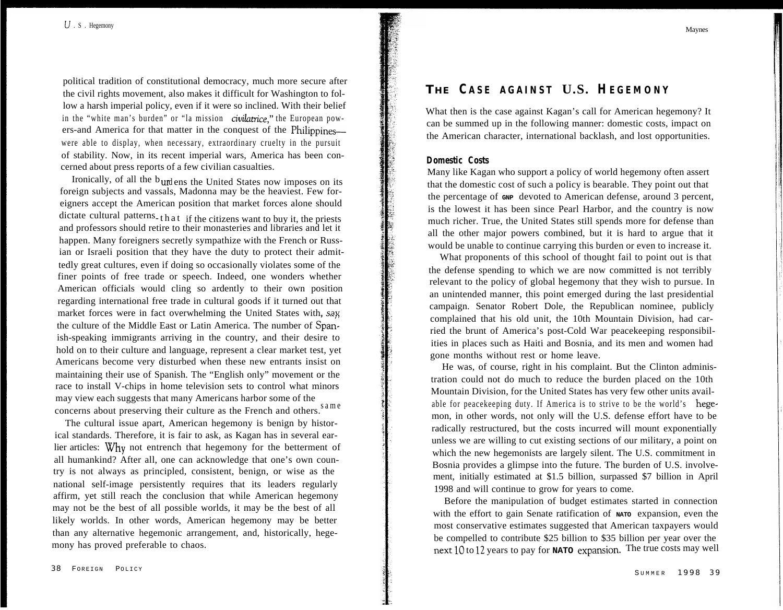political tradition of constitutional democracy, much more secure after the civil rights movement, also makes it difficult for Washington to follow a harsh imperial policy, even if it were so inclined. With their belief in the "white man's burden" or "la mission *civilatrice*," the European powers-and America for that matter in the conquest of the Philippineswere able to display, when necessary, extraordinary cruelty in the pursuit of stability. Now, in its recent imperial wars, America has been concerned about press reports of a few civilian casualties.

Ironically, of all the burdens the United States now imposes on its foreign subjects and vassals, Madonna may be the heaviest. Few foreigners accept the American position that market forces alone should dictate cultural patterns-that if the citizens want to buy it, the priests and professors should retire to their monasteries and libraries and let it happen. Many foreigners secretly sympathize with the French or Russian or Israeli position that they have the duty to protect their admittedly great cultures, even if doing so occasionally violates some of the finer points of free trade or speech. Indeed, one wonders whether American officials would cling so ardently to their own position regarding international free trade in cultural goods if it turned out that market forces were in fact overwhelming the United States with, say the culture of the Middle East or Latin America. The number of Span: ish-speaking immigrants arriving in the country, and their desire to hold on to their culture and language, represent a clear market test, yet Americans become very disturbed when these new entrants insist on maintaining their use of Spanish. The "English only" movement or the race to install V-chips in home television sets to control what minors may view each suggests that many Americans harbor some of the concerns about preserving their culture as the French and others.<sup>same</sup>

The cultural issue apart, American hegemony is benign by historical standards. Therefore, it is fair to ask, as Kagan has in several earlier articles:  $W$ hy not entrench that hegemony for the betterment of all humankind? After all, one can acknowledge that one's own country is not always as principled, consistent, benign, or wise as the national self-image persistently requires that its leaders regularly affirm, yet still reach the conclusion that while American hegemony may not be the best of all possible worlds, it may be the best of all likely worlds. In other words, American hegemony may be better than any alternative hegemonic arrangement, and, historically, hegemony has proved preferable to chaos.

#### **THE CASE AGAINST U.S. HEGEMONY**

What then is the case against Kagan's call for American hegemony? It can be summed up in the following manner: domestic costs, impact on the American character, international backlash, and lost opportunities.

#### **Domestic Costs**

Many like Kagan who support a policy of world hegemony often assert that the domestic cost of such a policy is bearable. They point out that the percentage of **GNP** devoted to American defense, around 3 percent, is the lowest it has been since Pearl Harbor, and the country is now much richer. True, the United States still spends more for defense than all the other major powers combined, but it is hard to argue that it would be unable to continue carrying this burden or even to increase it.

What proponents of this school of thought fail to point out is that the defense spending to which we are now committed is not terribly relevant to the policy of global hegemony that they wish to pursue. In an unintended manner, this point emerged during the last presidential campaign. Senator Robert Dole, the Republican nominee, publicly complained that his old unit, the 10th Mountain Division, had carried the brunt of America's post-Cold War peacekeeping responsibilities in places such as Haiti and Bosnia, and its men and women had gone months without rest or home leave.

He was, of course, right in his complaint. But the Clinton administration could not do much to reduce the burden placed on the 10th Mountain Division, for the United States has very few other units available for peacekeeping duty. If America is to strive to be the world's hegemon, in other words, not only will the U.S. defense effort have to be radically restructured, but the costs incurred will mount exponentially unless we are willing to cut existing sections of our military, a point on which the new hegemonists are largely silent. The U.S. commitment in Bosnia provides a glimpse into the future. The burden of U.S. involvement, initially estimated at \$1.5 billion, surpassed \$7 billion in April 1998 and will continue to grow for years to come.

Before the manipulation of budget estimates started in connection with the effort to gain Senate ratification of **NATO** expansion, even the most conservative estimates suggested that American taxpayers would be compelled to contribute \$25 billion to \$35 billion per year over the next  $10$  to  $12$  years to pay for **NATO** expansion. The true costs may well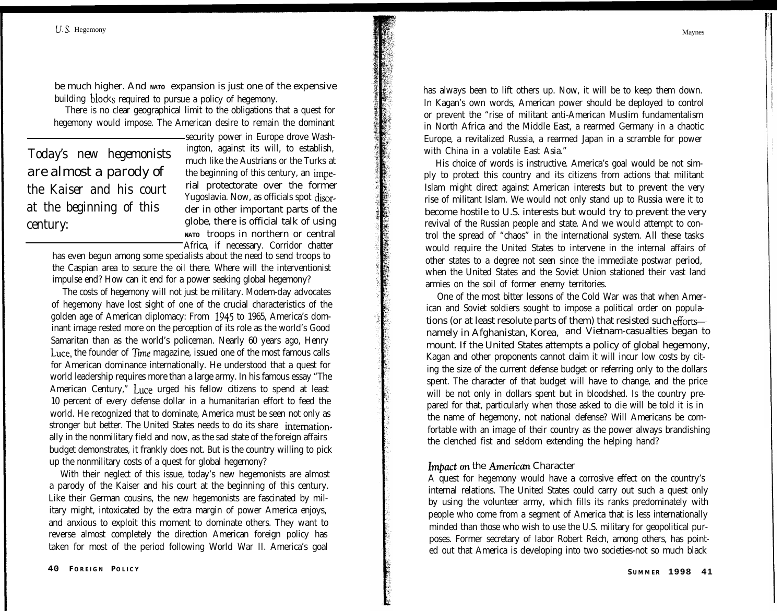be much higher. And **NATO** expansion is just one of the expensive building blocks required to pursue a policy of hegemony.

There is no clear geographical limit to the obligations that a quest for hegemony would impose. The American desire to remain the dominant

*Today's new hegemonists are almost a parody of at the beginning of this*

security power in Europe drove Wash-<br>ington, against its will, to establish, much like the Austrians or the Turks at the beginning of this century, an impe*the Kaiser and his court* rial protectorate over the former Yugoslavia. Now, as officials spot disorder in other important parts of the *century:* globe, there is official talk of using **NATO** troops in northern or central Africa, if necessary. Corridor chatter

has even begun among some specialists about the need to send troops to the Caspian area to secure the oil there. Where will the interventionist impulse end? How can it end for a power seeking global hegemony?

The costs of hegemony will not just be military. Modem-day advocates of hegemony have lost sight of one of the crucial characteristics of the golden age of American diplomacy: From 1945 to 1965, America's dominant image rested more on the perception of its role as the world's Good Samaritan than as the world's policeman. Nearly 60 years ago, Henry Luce, the founder of Time magazine, issued one of the most famous calls for American dominance internationally. He understood that a quest for world leadership requires more than a large army. In his famous essay "The American Century," Luce urged his fellow citizens to spend at least 10 percent of every defense dollar in a humanitarian effort to feed the world. He recognized that to dominate, America must be seen not only as stronger but better. The United States needs to do its share intemationally in the nonmilitary field and now, as the sad state of the foreign affairs budget demonstrates, it frankly does not. But is the country willing to pick up the nonmilitary costs of a quest for global hegemony?

With their neglect of this issue, today's new hegemonists are almost a parody of the Kaiser and his court at the beginning of this century. Like their German cousins, the new hegemonists are fascinated by military might, intoxicated by the extra margin of power America enjoys, and anxious to exploit this moment to dominate others. They want to reverse almost completely the direction American foreign policy has taken for most of the period following World War II. America's goal

has always been to lift others up. Now, it will be to keep them down. In Kagan's own words, American power should be deployed to control or prevent the "rise of militant anti-American Muslim fundamentalism in North Africa and the Middle East, a rearmed Germany in a chaotic Europe, a revitalized Russia, a rearmed Japan in a scramble for power with China in a volatile East Asia."

His choice of words is instructive. America's goal would be not simply to protect this country and its citizens from actions that militant Islam might direct against American interests but to prevent the very rise of militant Islam. We would not only stand up to Russia were it to become hostile to U.S. interests but would try to prevent the very revival of the Russian people and state. And we would attempt to control the spread of "chaos" in the international system. All these tasks would require the United States to intervene in the internal affairs of other states to a degree not seen since the immediate postwar period, when the United States and the Soviet Union stationed their vast land armies on the soil of former enemy territories.

One of the most bitter lessons of the Cold War was that when American and Soviet soldiers sought to impose a political order on populations (or at least resolute parts of them) that resisted such effortsnamely in Afghanistan, Korea, and Vietnam-casualties began to mount. If the United States attempts a policy of global hegemony, Kagan and other proponents cannot claim it will incur low costs by citing the size of the current defense budget or referring only to the dollars spent. The character of that budget will have to change, and the price will be not only in dollars spent but in bloodshed. Is the country prepared for that, particularly when those asked to die will be told it is in the name of hegemony, not national defense? Will Americans be comfortable with an image of their country as the power always brandishing the clenched fist and seldom extending the helping hand?

#### Impact on the American Character

A quest for hegemony would have a corrosive effect on the country's internal relations. The United States could carry out such a quest only by using the volunteer army, which fills its ranks predominately with people who come from a segment of America that is less internationally minded than those who wish to use the U.S. military for geopolitical purposes. Former secretary of labor Robert Reich, among others, has pointed out that America is developing into two societies-not so much black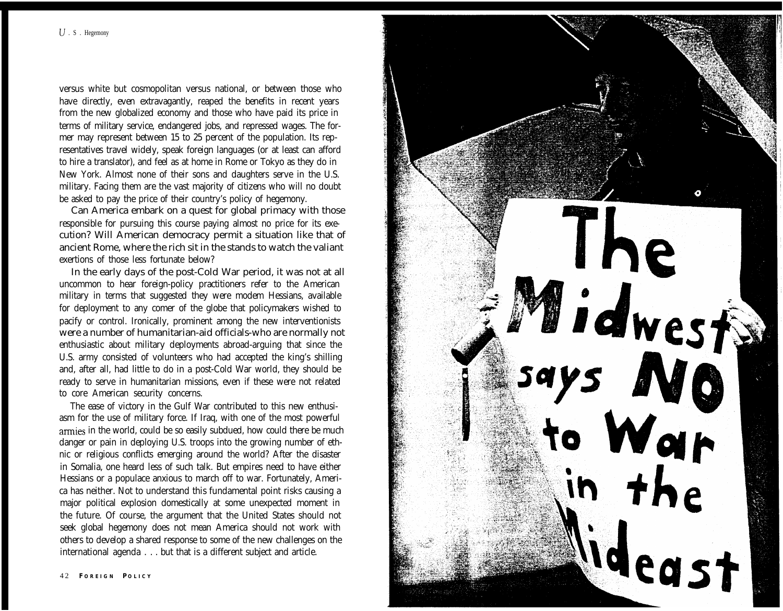versus white but cosmopolitan versus national, or between those who have directly, even extravagantly, reaped the benefits in recent years from the new globalized economy and those who have paid its price in terms of military service, endangered jobs, and repressed wages. The former may represent between 15 to 25 percent of the population. Its representatives travel widely, speak foreign languages (or at least can afford to hire a translator), and feel as at home in Rome or Tokyo as they do in New York. Almost none of their sons and daughters serve in the U.S. military. Facing them are the vast majority of citizens who will no doubt be asked to pay the price of their country's policy of hegemony.

Can America embark on a quest for global primacy with those responsible for pursuing this course paying almost no price for its execution? Will American democracy permit a situation like that of ancient Rome, where the rich sit in the stands to watch the valiant exertions of those less fortunate below?

In the early days of the post-Cold War period, it was not at all uncommon to hear foreign-policy practitioners refer to the American military in terms that suggested they were modem Hessians, available for deployment to any comer of the globe that policymakers wished to pacify or control. Ironically, prominent among the new interventionists were a number of humanitarian-aid officials-who are normally not enthusiastic about military deployments abroad-arguing that since the U.S. army consisted of volunteers who had accepted the king's shilling and, after all, had little to do in a post-Cold War world, they should be ready to serve in humanitarian missions, even if these were not related to core American security concerns.

The ease of victory in the Gulf War contributed to this new enthusiasm for the use of military force. If Iraq, with one of the most powerful armies in the world, could be so easily subdued, how could there be much danger or pain in deploying U.S. troops into the growing number of ethnic or religious conflicts emerging around the world? After the disaster in Somalia, one heard less of such talk. But empires need to have either Hessians or a populace anxious to march off to war. Fortunately, America has neither. Not to understand this fundamental point risks causing a major political explosion domestically at some unexpected moment in the future. Of course, the argument that the United States should not seek global hegemony does not mean America should not work with others to develop a shared response to some of the new challenges on the international agenda . . . but that is a different subject and article.

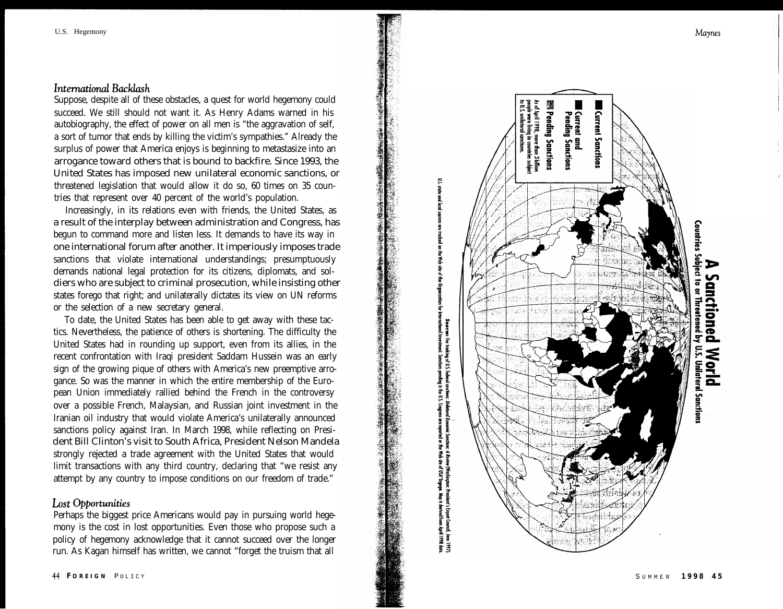#### **International Backlash**

Suppose, despite all of these obstacles, a quest for world hegemony could succeed. We still should not want it. As Henry Adams warned in his autobiography, the effect of power on all men is "the aggravation of self, a sort of tumor that ends by killing the victim's sympathies." Already the surplus of power that America enjoys is beginning to metastasize into an arrogance toward others that is bound to backfire. Since 1993, the United States has imposed new unilateral economic sanctions, or threatened legislation that would allow it do so, 60 times on 35 countries that represent over 40 percent of the world's population.

Increasingly, in its relations even with friends, the United States, as a result of the interplay between administration and Congress, has begun to command more and listen less. It demands to have its way in one international forum after another. It imperiously imposes trade sanctions that violate international understandings; presumptuously demands national legal protection for its citizens, diplomats, and soldiers who are subject to criminal prosecution, while insisting other states forego that right; and unilaterally dictates its view on UN reforms or the selection of a new secretary general.

To date, the United States has been able to get away with these tactics. Nevertheless, the patience of others is shortening. The difficulty the United States had in rounding up support, even from its allies, in the recent confrontation with Iraqi president Saddam Hussein was an early sign of the growing pique of others with America's new preemptive arrogance. So was the manner in which the entire membership of the European Union immediately rallied behind the French in the controversy over a possible French, Malaysian, and Russian joint investment in the Iranian oil industry that would violate America's unilaterally announced sanctions policy against Iran. In March 1998, while reflecting on President Bill Clinton's visit to South Africa, President Nelson Mandela strongly rejected a trade agreement with the United States that would limit transactions with any third country, declaring that "we resist any attempt by any country to impose conditions on our freedom of trade."

#### **Lost** *Opportunities*

Perhaps the biggest price Americans would pay in pursuing world hegemony is the cost in lost opportunities. Even those who propose such a policy of hegemony acknowledge that it cannot succeed over the longer run. As Kagan himself has written, we cannot "forget the truism that all

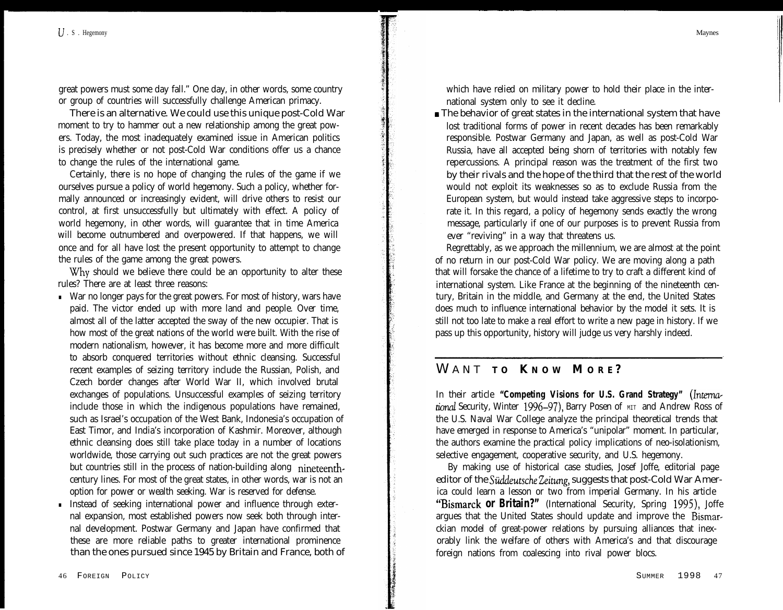great powers must some day fall." One day, in other words, some country or group of countries will successfully challenge American primacy.

There is an alternative. We could use this unique post-Cold War moment to try to hammer out a new relationship among the great powers. Today, the most inadequately examined issue in American politics is precisely whether or not post-Cold War conditions offer us a chance to change the rules of the international game.

Certainly, there is no hope of changing the rules of the game if we ourselves pursue a policy of world hegemony. Such a policy, whether formally announced or increasingly evident, will drive others to resist our control, at first unsuccessfully but ultimately with effect. A policy of world hegemony, in other words, will guarantee that in time America will become outnumbered and overpowered. If that happens, we will once and for all have lost the present opportunity to attempt to change the rules of the game among the great powers.

Why should we believe there could be an opportunity to alter these rules? There are at least three reasons:

- <sup>n</sup> War no longer pays for the great powers. For most of history, wars have paid. The victor ended up with more land and people. Over time, almost all of the latter accepted the sway of the new occupier. That is how most of the great nations of the world were built. With the rise of modern nationalism, however, it has become more and more difficult to absorb conquered territories without ethnic cleansing. Successful recent examples of seizing territory include the Russian, Polish, and Czech border changes after World War II, which involved brutal exchanges of populations. Unsuccessful examples of seizing territory include those in which the indigenous populations have remained, such as Israel's occupation of the West Bank, Indonesia's occupation of East Timor, and India's incorporation of Kashmir. Moreover, although ethnic cleansing does still take place today in a number of locations worldwide, those carrying out such practices are not the great powers but countries still in the process of nation-building along nineteenthcentury lines. For most of the great states, in other words, war is not an option for power or wealth seeking. War is reserved for defense.
- <sup>n</sup> Instead of seeking international power and influence through external expansion, most established powers now seek both through internal development. Postwar Germany and Japan have confirmed that these are more reliable paths to greater international prominence than the ones pursued since 1945 by Britain and France, both of

which have relied on military power to hold their place in the international system only to see it decline.

 $\blacksquare$  The behavior of great states in the international system that have lost traditional forms of power in recent decades has been remarkably responsible. Postwar Germany and Japan, as well as post-Cold War Russia, have all accepted being shorn of territories with notably few repercussions. A principal reason was the treatment of the first two by their rivals and the hope of the third that the rest of the world would not exploit its weaknesses so as to exclude Russia from the European system, but would instead take aggressive steps to incorporate it. In this regard, a policy of hegemony sends exactly the wrong message, particularly if one of our purposes is to prevent Russia from ever "reviving" in a way that threatens us.

Regrettably, as we approach the millennium, we are almost at the point of no return in our post-Cold War policy. We are moving along a path that will forsake the chance of a lifetime to try to craft a different kind of international system. Like France at the beginning of the nineteenth century, Britain in the middle, and Germany at the end, the United States does much to influence international behavior by the model it sets. It is still not too late to make a real effort to write a new page in history. If we pass up this opportunity, history will judge us very harshly indeed.

### WANT **TO KNOW MORE?**

In their article "Competing Visions for U.S. Grand Strategy" (International Security, Winter 1996-97), Barry Posen of MIT and Andrew Ross of the U.S. Naval War College analyze the principal theoretical trends that have emerged in response to America's "unipolar" moment. In particular, the authors examine the practical policy implications of neo-isolationism, selective engagement, cooperative security, and U.S. hegemony.

By making use of historical case studies, Josef Joffe, editorial page editor of the Süddeutsche Zeitung, suggests that post-Cold War America could learn a lesson or two from imperial Germany. In his article **"Bismarck or Britain?"** (International Security, Spring 1995), Joffe argues that the United States should update and improve the Bismarckian model of great-power relations by pursuing alliances that inexorably link the welfare of others with America's and that discourage foreign nations from coalescing into rival power blocs.